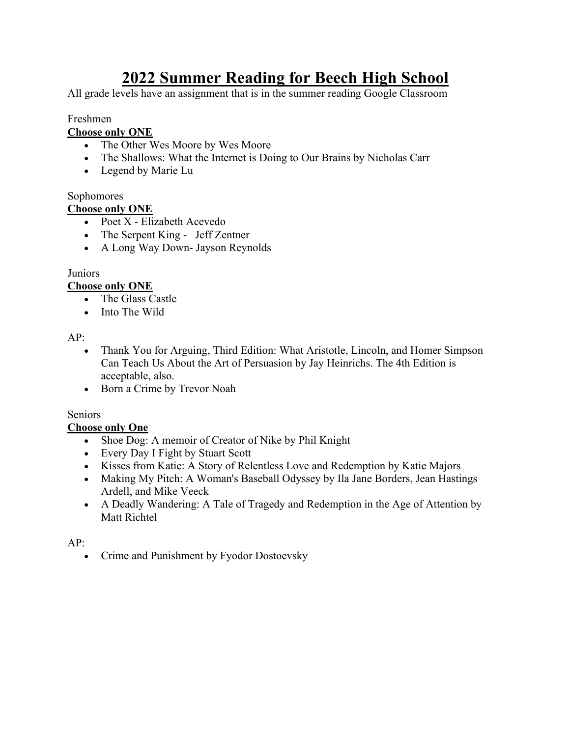# **2022 Summer Reading for Beech High School**

All grade levels have an assignment that is in the summer reading Google Classroom

## Freshmen

#### **Choose only ONE**

- The Other Wes Moore by Wes Moore
- The Shallows: What the Internet is Doing to Our Brains by Nicholas Carr
- Legend by Marie Lu

### Sophomores

#### **Choose only ONE**

- Poet X Elizabeth Acevedo
- The Serpent King Jeff Zentner
- A Long Way Down- Jayson Reynolds

#### **Juniors**

#### **Choose only ONE**

- The Glass Castle
- Into The Wild

#### AP:

- Thank You for Arguing, Third Edition: What Aristotle, Lincoln, and Homer Simpson Can Teach Us About the Art of Persuasion by Jay Heinrichs. The 4th Edition is acceptable, also.
- Born a Crime by Trevor Noah

#### Seniors

#### **Choose only One**

- Shoe Dog: A memoir of Creator of Nike by Phil Knight
- Every Day I Fight by Stuart Scott
- Kisses from Katie: A Story of Relentless Love and Redemption by Katie Majors
- Making My Pitch: A Woman's Baseball Odyssey by Ila Jane Borders, Jean Hastings Ardell, and Mike Veeck
- A Deadly Wandering: A Tale of Tragedy and Redemption in the Age of Attention by Matt Richtel

#### AP:

• Crime and Punishment by Fyodor Dostoevsky